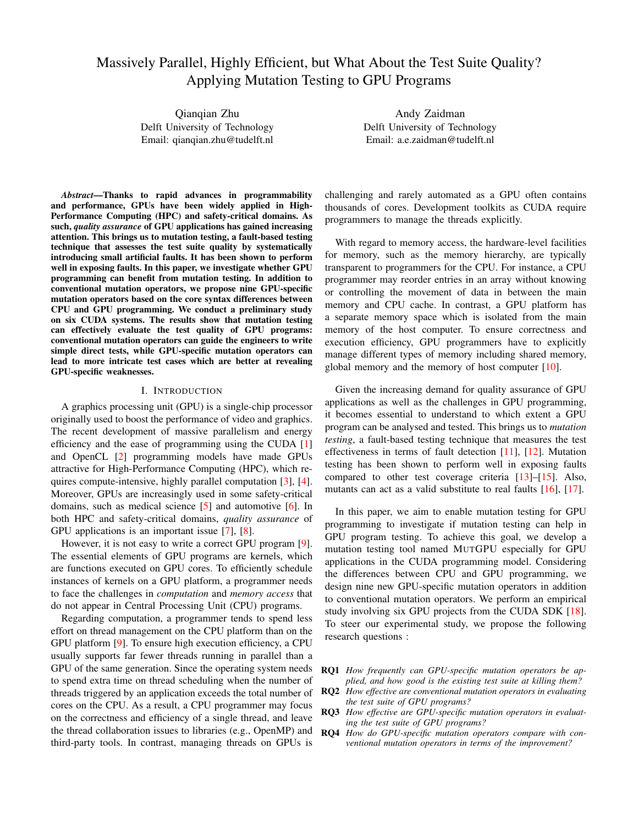# Massively Parallel, Highly Efficient, but What About the Test Suite Quality? Applying Mutation Testing to GPU Programs

Qianqian Zhu Delft University of Technology Email: qianqian.zhu@tudelft.nl

Andy Zaidman Delft University of Technology Email: a.e.zaidman@tudelft.nl

*Abstract*—Thanks to rapid advances in programmability and performance, GPUs have been widely applied in High-Performance Computing (HPC) and safety-critical domains. As such, *quality assurance* of GPU applications has gained increasing attention. This brings us to mutation testing, a fault-based testing technique that assesses the test suite quality by systematically introducing small artificial faults. It has been shown to perform well in exposing faults. In this paper, we investigate whether GPU programming can benefit from mutation testing. In addition to conventional mutation operators, we propose nine GPU-specific mutation operators based on the core syntax differences between CPU and GPU programming. We conduct a preliminary study on six CUDA systems. The results show that mutation testing can effectively evaluate the test quality of GPU programs: conventional mutation operators can guide the engineers to write simple direct tests, while GPU-specific mutation operators can lead to more intricate test cases which are better at revealing GPU-specific weaknesses.

# I. INTRODUCTION

A graphics processing unit (GPU) is a single-chip processor originally used to boost the performance of video and graphics. The recent development of massive parallelism and energy efficiency and the ease of programming using the CUDA [\[1\]](#page-9-0) and OpenCL [\[2\]](#page-10-0) programming models have made GPUs attractive for High-Performance Computing (HPC), which requires compute-intensive, highly parallel computation [\[3\]](#page-10-1), [\[4\]](#page-10-2). Moreover, GPUs are increasingly used in some safety-critical domains, such as medical science [\[5\]](#page-10-3) and automotive [\[6\]](#page-10-4). In both HPC and safety-critical domains, *quality assurance* of GPU applications is an important issue [\[7\]](#page-10-5), [\[8\]](#page-10-6).

However, it is not easy to write a correct GPU program [\[9\]](#page-10-7). The essential elements of GPU programs are kernels, which are functions executed on GPU cores. To efficiently schedule instances of kernels on a GPU platform, a programmer needs to face the challenges in *computation* and *memory access* that do not appear in Central Processing Unit (CPU) programs.

Regarding computation, a programmer tends to spend less effort on thread management on the CPU platform than on the GPU platform [\[9\]](#page-10-7). To ensure high execution efficiency, a CPU usually supports far fewer threads running in parallel than a GPU of the same generation. Since the operating system needs to spend extra time on thread scheduling when the number of threads triggered by an application exceeds the total number of cores on the CPU. As a result, a CPU programmer may focus on the correctness and efficiency of a single thread, and leave the thread collaboration issues to libraries (e.g., OpenMP) and third-party tools. In contrast, managing threads on GPUs is

challenging and rarely automated as a GPU often contains thousands of cores. Development toolkits as CUDA require programmers to manage the threads explicitly.

With regard to memory access, the hardware-level facilities for memory, such as the memory hierarchy, are typically transparent to programmers for the CPU. For instance, a CPU programmer may reorder entries in an array without knowing or controlling the movement of data in between the main memory and CPU cache. In contrast, a GPU platform has a separate memory space which is isolated from the main memory of the host computer. To ensure correctness and execution efficiency, GPU programmers have to explicitly manage different types of memory including shared memory, global memory and the memory of host computer [\[10\]](#page-10-8).

Given the increasing demand for quality assurance of GPU applications as well as the challenges in GPU programming, it becomes essential to understand to which extent a GPU program can be analysed and tested. This brings us to *mutation testing*, a fault-based testing technique that measures the test effectiveness in terms of fault detection [\[11\]](#page-10-9), [\[12\]](#page-10-10). Mutation testing has been shown to perform well in exposing faults compared to other test coverage criteria [\[13\]](#page-10-11)–[\[15\]](#page-10-12). Also, mutants can act as a valid substitute to real faults [\[16\]](#page-10-13), [\[17\]](#page-10-14).

In this paper, we aim to enable mutation testing for GPU programming to investigate if mutation testing can help in GPU program testing. To achieve this goal, we develop a mutation testing tool named MUTGPU especially for GPU applications in the CUDA programming model. Considering the differences between CPU and GPU programming, we design nine new GPU-specific mutation operators in addition to conventional mutation operators. We perform an empirical study involving six GPU projects from the CUDA SDK [\[18\]](#page-10-15). To steer our experimental study, we propose the following research questions :

- RQ1 *How frequently can GPU-specific mutation operators be applied, and how good is the existing test suite at killing them?*
- RQ2 *How effective are conventional mutation operators in evaluating the test suite of GPU programs?*
- RQ3 *How effective are GPU-specific mutation operators in evaluating the test suite of GPU programs?*
- RQ4 *How do GPU-specific mutation operators compare with conventional mutation operators in terms of the improvement?*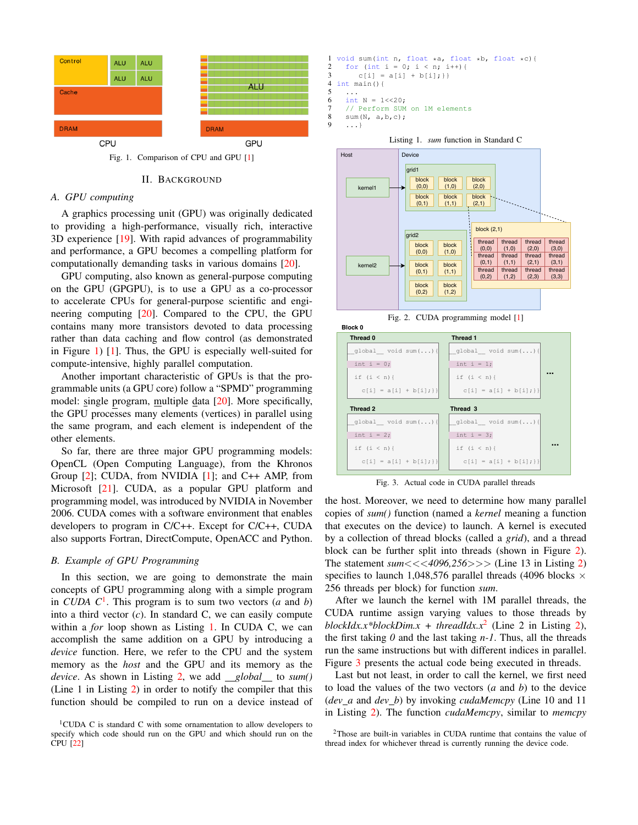

Fig. 1. Comparison of CPU and GPU [\[1\]](#page-9-0)

#### <span id="page-1-0"></span>II. BACKGROUND

#### <span id="page-1-6"></span>*A. GPU computing*

A graphics processing unit (GPU) was originally dedicated to providing a high-performance, visually rich, interactive 3D experience [\[19\]](#page-10-16). With rapid advances of programmability and performance, a GPU becomes a compelling platform for computationally demanding tasks in various domains [\[20\]](#page-10-17).

GPU computing, also known as general-purpose computing on the GPU (GPGPU), is to use a GPU as a co-processor to accelerate CPUs for general-purpose scientific and engineering computing [\[20\]](#page-10-17). Compared to the CPU, the GPU contains many more transistors devoted to data processing rather than data caching and flow control (as demonstrated in Figure [1\)](#page-1-0) [\[1\]](#page-9-0). Thus, the GPU is especially well-suited for compute-intensive, highly parallel computation.

Another important characteristic of GPUs is that the programmable units (a GPU core) follow a "SPMD" programming model: single program, multiple data [\[20\]](#page-10-17). More specifically, the GPU processes many elements (vertices) in parallel using the same program, and each element is independent of the other elements.

So far, there are three major GPU programming models: OpenCL (Open Computing Language), from the Khronos Group [\[2\]](#page-10-0); CUDA, from NVIDIA [\[1\]](#page-9-0); and C++ AMP, from Microsoft [\[21\]](#page-10-18). CUDA, as a popular GPU platform and programming model, was introduced by NVIDIA in November 2006. CUDA comes with a software environment that enables developers to program in C/C++. Except for C/C++, CUDA also supports Fortran, DirectCompute, OpenACC and Python.

# <span id="page-1-7"></span>*B. Example of GPU Programming*

In this section, we are going to demonstrate the main concepts of GPU programming along with a simple program in *CUDA C*[1](#page-1-1) . This program is to sum two vectors (*a* and *b*) into a third vector (*c*). In standard C, we can easily compute within a *for* loop shown as Listing [1.](#page-1-2) In CUDA C, we can accomplish the same addition on a GPU by introducing a *device* function. Here, we refer to the CPU and the system memory as the *host* and the GPU and its memory as the *device*. As shown in Listing [2,](#page-2-0) we add *global* to *sum()* (Line 1 in Listing [2\)](#page-2-0) in order to notify the compiler that this function should be compiled to run on a device instead of

```
1 void sum(int n, float *a, float *b, float *c){<br>2 for (int i = 0: i < n: i++){
2 for (int i = 0; i < n; i++){<br>3 c[i] = a[i] + b[i];}}
\begin{cases}\n3 & c[i] = a[i] + b[i]; \\
4 & \text{int } \text{main} \end{cases}int main() {
5 ...
6 int N = 1 < < 20;
7 // Perform SUM on 1M elements<br>8 sum(N. a.b.c):
8 \quad \text{sum(N, a, b, c)};
```

```
9 ...}
```
**Block 0**





<span id="page-1-3"></span>Fig. 2. CUDA programming model [\[1\]](#page-9-0)

| Thread 0               | Thread 1                        |
|------------------------|---------------------------------|
| qlobal void sum $()$ { | qlobal void sum $()$ {          |
| int i = $0;$           | int i = $1;$                    |
| if $(i < n)$ {         | if $(i < n)$ {                  |
| $c[i] = a[i] + b[i];$  | $c[i] = a[i] + b[i];$           |
|                        |                                 |
| Thread 2               | Thread 3                        |
| qlobal void sum $()$ { | $q$ lobal void sum $(\ldots)$ { |
| int i = $2$ ;          | int i = $3;$                    |
| if $(i < n)$ {         | if $(i < n)$ {                  |
|                        |                                 |

<span id="page-1-5"></span>Fig. 3. Actual code in CUDA parallel threads

the host. Moreover, we need to determine how many parallel copies of *sum()* function (named a *kernel* meaning a function that executes on the device) to launch. A kernel is executed by a collection of thread blocks (called a *grid*), and a thread block can be further split into threads (shown in Figure [2\)](#page-1-3). The statement *sum*<<<*4096,256*>>> (Line 13 in Listing [2\)](#page-2-0) specifies to launch 1,048,576 parallel threads (4096 blocks  $\times$ 256 threads per block) for function *sum*.

After we launch the kernel with 1M parallel threads, the CUDA runtime assign varying values to those threads by  $blockIdx.x * blockDim.x + threadIdx.x^2$  $blockIdx.x * blockDim.x + threadIdx.x^2$  (Line 2 in Listing [2\)](#page-2-0), the first taking  $\theta$  and the last taking  $n-1$ . Thus, all the threads run the same instructions but with different indices in parallel. Figure [3](#page-1-5) presents the actual code being executed in threads.

Last but not least, in order to call the kernel, we first need to load the values of the two vectors (*a* and *b*) to the device (*dev a* and *dev b*) by invoking *cudaMemcpy* (Line 10 and 11 in Listing [2\)](#page-2-0). The function *cudaMemcpy*, similar to *memcpy*

<span id="page-1-1"></span><sup>&</sup>lt;sup>1</sup>CUDA C is standard C with some ornamentation to allow developers to specify which code should run on the GPU and which should run on the CPU [\[22\]](#page-10-19)

<span id="page-1-4"></span><sup>2</sup>Those are built-in variables in CUDA runtime that contains the value of thread index for whichever thread is currently running the device code.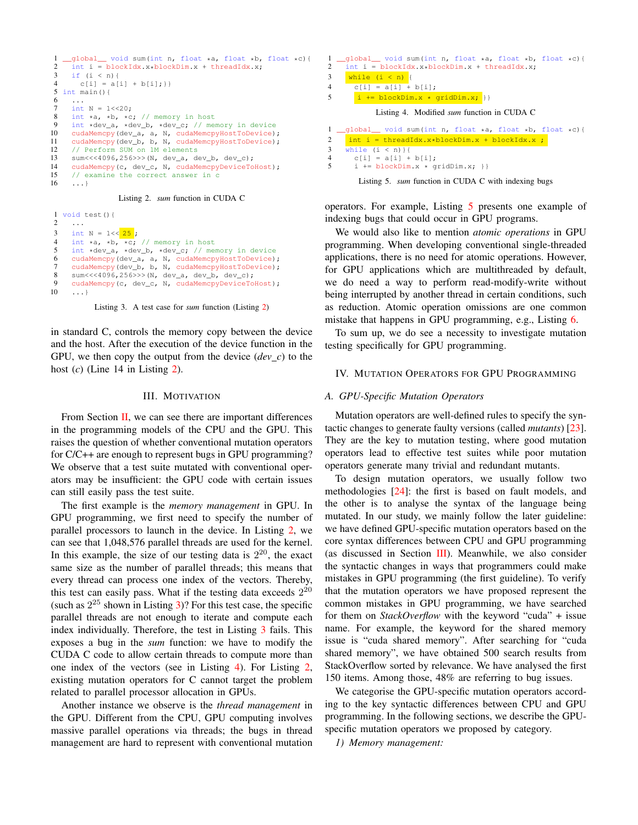```
1 _global_ void sum(int n, float *a, float *b, float *c){<br>2 int i = blockIdx.x*blockDim.x + threadIdx.x;
 2 int i = blockIdx.x*blockDim.x + threadIdx.x;<br>3 if (i \le n) {
 3 if (i < n) {<br>4 c[i] = a[]
         c[i] = a[i] + b[i];5 int main(){
 6
 7 int N = 1 \le 20;<br>8 int *a, *b, *c
 8 int *a, *b, *c; // memory in host<br>9 int *dev a, *dev b, *dev c; // me
9 int *dev_a, *dev_b, *dev_c; // memory in device<br>10 cudaMemory (dev a. a. N. cudaMemory Host ToDevice)
      cudaMemcpy(dev_a, a, N, cudaMemcpyHostToDevice);
11 cudaMemcpy(dev_b, b, N, cudaMemcpyHostToDevice);
12 // Perform SUM on 1M elements<br>13 sum <<<4096.256>>> (N. dev a. de
      sum<<<4096,256>>>(N, dev_a, dev_b, dev_c);
14 cudaMemcpy(c, dev_c, N, cudaMemcpyDeviceToHost);
15 \frac{1}{6} // examine the correct answer in c
       16 ...}
```
Listing 2. *sum* function in CUDA C

<span id="page-2-1"></span> $\frac{1}{2}$  void test(){ 2 ... 3 int N =  $1 \le \frac{25}{7}$ ; 4 int  $\star$ a,  $\star$ b,  $\star$ c; // memory in host<br>5 int  $\star$ dev a.  $\star$ dev b.  $\star$ dev c: // me 5 int \*dev\_a, \*dev\_b, \*dev\_c; // memory in device<br>6 cudaMemory(dev a, a, N, cudaMemoryHostToDevice) 6 cudaMemcpy(dev\_a, a, N, cudaMemcpyHostToDevice);<br>7 cudaMemcpy(dev b, b, N, cudaMemcpyHostToDevice); cudaMemcpy(dev\_b, b, N, cudaMemcpyHostToDevice);  $sum<<4096,256>>>$  (N, dev\_a, dev\_b, dev\_c); 9 cudaMemcpy(c, dev\_c, N, cudaMemcpyDeviceToHost);<br>10 ...} 10 ...}

Listing 3. A test case for *sum* function (Listing [2\)](#page-2-0)

in standard C, controls the memory copy between the device and the host. After the execution of the device function in the GPU, we then copy the output from the device  $(dev_c)$  to the host (*c*) (Line 14 in Listing [2\)](#page-2-0).

## III. MOTIVATION

<span id="page-2-4"></span>From Section [II,](#page-1-6) we can see there are important differences in the programming models of the CPU and the GPU. This raises the question of whether conventional mutation operators for C/C++ are enough to represent bugs in GPU programming? We observe that a test suite mutated with conventional operators may be insufficient: the GPU code with certain issues can still easily pass the test suite.

The first example is the *memory management* in GPU. In GPU programming, we first need to specify the number of parallel processors to launch in the device. In Listing [2,](#page-2-0) we can see that 1,048,576 parallel threads are used for the kernel. In this example, the size of our testing data is  $2^{20}$ , the exact same size as the number of parallel threads; this means that every thread can process one index of the vectors. Thereby, this test can easily pass. What if the testing data exceeds  $2^{20}$ (such as  $2^{25}$  shown in Listing [3\)](#page-2-1)? For this test case, the specific parallel threads are not enough to iterate and compute each index individually. Therefore, the test in Listing [3](#page-2-1) fails. This exposes a bug in the *sum* function: we have to modify the CUDA C code to allow certain threads to compute more than one index of the vectors (see in Listing [4\)](#page-2-2). For Listing [2,](#page-2-0) existing mutation operators for C cannot target the problem related to parallel processor allocation in GPUs.

Another instance we observe is the *thread management* in the GPU. Different from the CPU, GPU computing involves massive parallel operations via threads; the bugs in thread management are hard to represent with conventional mutation

<span id="page-2-2"></span>

| 2                   | $\Box$ global void sum(int n, float *a, float *b, float *c){<br>$int i = blockIdx.x * blockDim.x + threadIdx.x$ |
|---------------------|-----------------------------------------------------------------------------------------------------------------|
| 3                   | while $(i < n)$ {                                                                                               |
| $\overline{4}$      | $c[i] = a[i] + b[i];$                                                                                           |
| 5                   | $i \neq blockDim.x * gridDim.x;$                                                                                |
|                     | Listing 4. Modified <i>sum</i> function in CUDA C                                                               |
|                     |                                                                                                                 |
|                     | 1 _qlobal_ void sum(int n, float $\star$ a, float $\star$ b, float $\star$ c){                                  |
| 2                   | $\int$ int i = threadIdx.x*blockDim.x + blockIdx.x ;                                                            |
| 3                   | while $(i < n)$ } {                                                                                             |
| $\overline{4}$<br>5 | $c[i] = a[i] + b[i];$<br>$i \neq blockDim.x * gridDim.x; \}$                                                    |

<span id="page-2-3"></span>Listing 5. *sum* function in CUDA C with indexing bugs

operators. For example, Listing [5](#page-2-3) presents one example of indexing bugs that could occur in GPU programs.

We would also like to mention *atomic operations* in GPU programming. When developing conventional single-threaded applications, there is no need for atomic operations. However, for GPU applications which are multithreaded by default, we do need a way to perform read-modify-write without being interrupted by another thread in certain conditions, such as reduction. Atomic operation omissions are one common mistake that happens in GPU programming, e.g., Listing [6.](#page-3-0)

To sum up, we do see a necessity to investigate mutation testing specifically for GPU programming.

#### IV. MUTATION OPERATORS FOR GPU PROGRAMMING

# *A. GPU-Specific Mutation Operators*

Mutation operators are well-defined rules to specify the syntactic changes to generate faulty versions (called *mutants*) [\[23\]](#page-10-20). They are the key to mutation testing, where good mutation operators lead to effective test suites while poor mutation operators generate many trivial and redundant mutants.

To design mutation operators, we usually follow two methodologies [\[24\]](#page-10-21): the first is based on fault models, and the other is to analyse the syntax of the language being mutated. In our study, we mainly follow the later guideline: we have defined GPU-specific mutation operators based on the core syntax differences between CPU and GPU programming (as discussed in Section [III\)](#page-2-4). Meanwhile, we also consider the syntactic changes in ways that programmers could make mistakes in GPU programming (the first guideline). To verify that the mutation operators we have proposed represent the common mistakes in GPU programming, we have searched for them on *StackOverflow* with the keyword "cuda" + issue name. For example, the keyword for the shared memory issue is "cuda shared memory". After searching for "cuda shared memory", we have obtained 500 search results from StackOverflow sorted by relevance. We have analysed the first 150 items. Among those, 48% are referring to bug issues.

We categorise the GPU-specific mutation operators according to the key syntactic differences between CPU and GPU programming. In the following sections, we describe the GPUspecific mutation operators we proposed by category.

*1) Memory management:*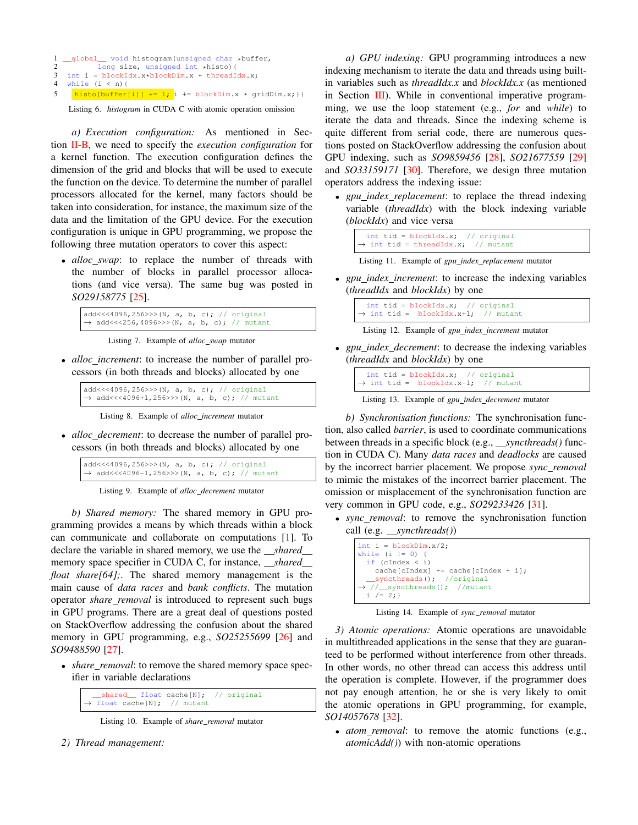```
1 __global__ void histogram(unsigned char *buffer,<br>2 \frac{1}{2} long size, unsigned int *bisto){
2 long size, unsigned int *histo){
3 int i = blockIdx.x*blockDim.x + threadIdx.x;
4 while (i < n) {
5 histo[buffer[i]] += 1; i \leftarrow 1 blockDim.x * qridDim.x; } }
```
Listing 6. *histogram* in CUDA C with atomic operation omission

*a) Execution configuration:* As mentioned in Section [II-B,](#page-1-7) we need to specify the *execution configuration* for a kernel function. The execution configuration defines the dimension of the grid and blocks that will be used to execute the function on the device. To determine the number of parallel processors allocated for the kernel, many factors should be taken into consideration, for instance, the maximum size of the data and the limitation of the GPU device. For the execution configuration is unique in GPU programming, we propose the following three mutation operators to cover this aspect:

• *alloc\_swap*: to replace the number of threads with the number of blocks in parallel processor allocations (and vice versa). The same bug was posted in *SO29158775* [\[25\]](#page-10-22).

```
add<<<4096,256>>>(N, a, b, c); // original
→ add <<< 256,4096 >>> (N, a, b, c); // mutant
```
Listing 7. Example of *alloc swap* mutator

• *alloc increment*: to increase the number of parallel processors (in both threads and blocks) allocated by one

```
add<<<4096,256>>>(N, a, b, c); // original
→ add<<<4096+1,256>>>(N, a, b, c); // mutant
```
Listing 8. Example of *alloc increment* mutator

• *alloc decrement*: to decrease the number of parallel processors (in both threads and blocks) allocated by one

add<<<4096,256>>>(N, a, b, c); // original → add<<<4096-1,256>>>(N, a, b, c); // mutant

Listing 9. Example of *alloc decrement* mutator

*b) Shared memory:* The shared memory in GPU programming provides a means by which threads within a block can communicate and collaborate on computations [\[1\]](#page-9-0). To declare the variable in shared memory, we use the *\_shared* memory space specifier in CUDA C, for instance, *\_\_shared* \_\_\_ *float share[64];*. The shared memory management is the main cause of *data races* and *bank conflicts*. The mutation operator *share removal* is introduced to represent such bugs in GPU programs. There are a great deal of questions posted on StackOverflow addressing the confusion about the shared memory in GPU programming, e.g., *SO25255699* [\[26\]](#page-10-23) and *SO9488590* [\[27\]](#page-10-24).

• *share\_removal*: to remove the shared memory space specifier in variable declarations

|  |                                         |  | __shared__ float cache[N]; // original |
|--|-----------------------------------------|--|----------------------------------------|
|  | $\rightarrow$ float cache[N]; // mutant |  |                                        |

Listing 10. Example of *share removal* mutator

*2) Thread management:*

*a) GPU indexing:* GPU programming introduces a new indexing mechanism to iterate the data and threads using builtin variables such as *threadIdx.x* and *blockIdx.x* (as mentioned in Section  $III$ ). While in conventional imperative programming, we use the loop statement (e.g., *for* and *while*) to iterate the data and threads. Since the indexing scheme is quite different from serial code, there are numerous questions posted on StackOverflow addressing the confusion about GPU indexing, such as *SO9859456* [\[28\]](#page-10-25), *SO21677559* [\[29\]](#page-10-26) and *SO33159171* [\[30\]](#page-10-27). Therefore, we design three mutation operators address the indexing issue:

• *gpu index replacement*: to replace the thread indexing variable (*threadIdx*) with the block indexing variable (*blockIdx*) and vice versa

| $\rightarrow$ int tid = threadIdx.x; // mutant |
|------------------------------------------------|
|------------------------------------------------|

Listing 11. Example of *gpu index replacement* mutator

• *gpu index increment*: to increase the indexing variables (*threadIdx* and *blockIdx*) by one

| int tid = $blockidx, x;$ // original            |  |
|-------------------------------------------------|--|
| $\rightarrow$ int tid = blockIdx.x+1; // mutant |  |

Listing 12. Example of *gpu index increment* mutator

• *gpu index decrement*: to decrease the indexing variables (*threadIdx* and *blockIdx*) by one

| int tid = blockIdx.x; // original               |  |
|-------------------------------------------------|--|
| $\rightarrow$ int tid = blockIdx.x-1; // mutant |  |

|  | Listing 13. Example of <i>gpu_index_decrement</i> mutator |  |  |  |
|--|-----------------------------------------------------------|--|--|--|
|--|-----------------------------------------------------------|--|--|--|

*b) Synchronisation functions:* The synchronisation function, also called *barrier*, is used to coordinate communications between threads in a specific block (e.g., *\_\_syncthreads()* function in CUDA C). Many *data races* and *deadlocks* are caused by the incorrect barrier placement. We propose *sync removal* to mimic the mistakes of the incorrect barrier placement. The omission or misplacement of the synchronisation function are very common in GPU code, e.g., *SO29233426* [\[31\]](#page-10-28).

• *sync removal*: to remove the synchronisation function call (e.g. *syncthreads()*)

| int i = blockDim. $x/2$ ;                |
|------------------------------------------|
| while $(i := 0)$ {                       |
| if $(clndex < i)$                        |
| $cache[clndex] += cache[clndex + i];$    |
| $\text{Symchreads}()$ ; //original       |
| $\rightarrow$ // syncthreads(); //mutant |
| $i / = 2;$                               |
|                                          |

Listing 14. Example of *sync removal* mutator

*3) Atomic operations:* Atomic operations are unavoidable in multithreaded applications in the sense that they are guaranteed to be performed without interference from other threads. In other words, no other thread can access this address until the operation is complete. However, if the programmer does not pay enough attention, he or she is very likely to omit the atomic operations in GPU programming, for example, *SO14057678* [\[32\]](#page-10-29).

• *atom removal*: to remove the atomic functions (e.g., *atomicAdd()*) with non-atomic operations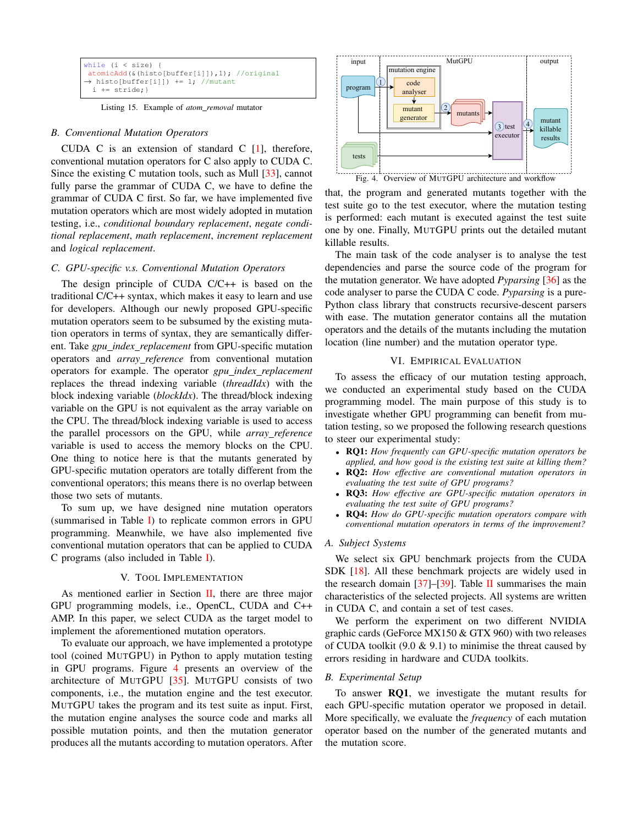```
while (i < size) {
atomicAdd(&(histo[buffer[i]]),1); //original
→ histo[buffer[i]]) += 1; //mutant
 i += stride; }
```
Listing 15. Example of *atom removal* mutator

## *B. Conventional Mutation Operators*

CUDA C is an extension of standard C [\[1\]](#page-9-0), therefore, conventional mutation operators for C also apply to CUDA C. Since the existing C mutation tools, such as Mull [\[33\]](#page-10-30), cannot fully parse the grammar of CUDA C, we have to define the grammar of CUDA C first. So far, we have implemented five mutation operators which are most widely adopted in mutation testing, i.e., *conditional boundary replacement*, *negate conditional replacement*, *math replacement*, *increment replacement* and *logical replacement*.

# *C. GPU-specific v.s. Conventional Mutation Operators*

The design principle of CUDA C/C++ is based on the traditional C/C++ syntax, which makes it easy to learn and use for developers. Although our newly proposed GPU-specific mutation operators seem to be subsumed by the existing mutation operators in terms of syntax, they are semantically different. Take *gpu index replacement* from GPU-specific mutation operators and *array reference* from conventional mutation operators for example. The operator *gpu index replacement* replaces the thread indexing variable (*threadIdx*) with the block indexing variable (*blockIdx*). The thread/block indexing variable on the GPU is not equivalent as the array variable on the CPU. The thread/block indexing variable is used to access the parallel processors on the GPU, while *array reference* variable is used to access the memory blocks on the CPU. One thing to notice here is that the mutants generated by GPU-specific mutation operators are totally different from the conventional operators; this means there is no overlap between those two sets of mutants.

To sum up, we have designed nine mutation operators (summarised in Table [I\)](#page-5-0) to replicate common errors in GPU programming. Meanwhile, we have also implemented five conventional mutation operators that can be applied to CUDA C programs (also included in Table [I\)](#page-5-0).

#### V. TOOL IMPLEMENTATION

As mentioned earlier in Section [II,](#page-1-6) there are three major GPU programming models, i.e., OpenCL, CUDA and C++ AMP. In this paper, we select CUDA as the target model to implement the aforementioned mutation operators.

To evaluate our approach, we have implemented a prototype tool (coined MUTGPU) in Python to apply mutation testing in GPU programs. Figure [4](#page-4-0) presents an overview of the architecture of MUTGPU [\[35\]](#page-10-31). MUTGPU consists of two components, i.e., the mutation engine and the test executor. MUTGPU takes the program and its test suite as input. First, the mutation engine analyses the source code and marks all possible mutation points, and then the mutation generator produces all the mutants according to mutation operators. After



<span id="page-4-0"></span>that, the program and generated mutants together with the test suite go to the test executor, where the mutation testing is performed: each mutant is executed against the test suite one by one. Finally, MUTGPU prints out the detailed mutant killable results.

The main task of the code analyser is to analyse the test dependencies and parse the source code of the program for the mutation generator. We have adopted *Pyparsing* [\[36\]](#page-10-32) as the code analyser to parse the CUDA C code. *Pyparsing* is a pure-Python class library that constructs recursive-descent parsers with ease. The mutation generator contains all the mutation operators and the details of the mutants including the mutation location (line number) and the mutation operator type.

# VI. EMPIRICAL EVALUATION

To assess the efficacy of our mutation testing approach, we conducted an experimental study based on the CUDA programming model. The main purpose of this study is to investigate whether GPU programming can benefit from mutation testing, so we proposed the following research questions to steer our experimental study:

- RQ1: *How frequently can GPU-specific mutation operators be applied, and how good is the existing test suite at killing them?*
- RQ2: *How effective are conventional mutation operators in evaluating the test suite of GPU programs?*
- RQ3: *How effective are GPU-specific mutation operators in evaluating the test suite of GPU programs?*
- RQ4: *How do GPU-specific mutation operators compare with conventional mutation operators in terms of the improvement?*

#### *A. Subject Systems*

We select six GPU benchmark projects from the CUDA SDK [\[18\]](#page-10-15). All these benchmark projects are widely used in the research domain [\[37\]](#page-10-33)–[\[39\]](#page-10-34). Table [II](#page-5-1) summarises the main characteristics of the selected projects. All systems are written in CUDA C, and contain a set of test cases.

We perform the experiment on two different NVIDIA graphic cards (GeForce MX150 & GTX 960) with two releases of CUDA toolkit  $(9.0 \& 9.1)$  to minimise the threat caused by errors residing in hardware and CUDA toolkits.

# *B. Experimental Setup*

To answer RQ1, we investigate the mutant results for each GPU-specific mutation operator we proposed in detail. More specifically, we evaluate the *frequency* of each mutation operator based on the number of the generated mutants and the mutation score.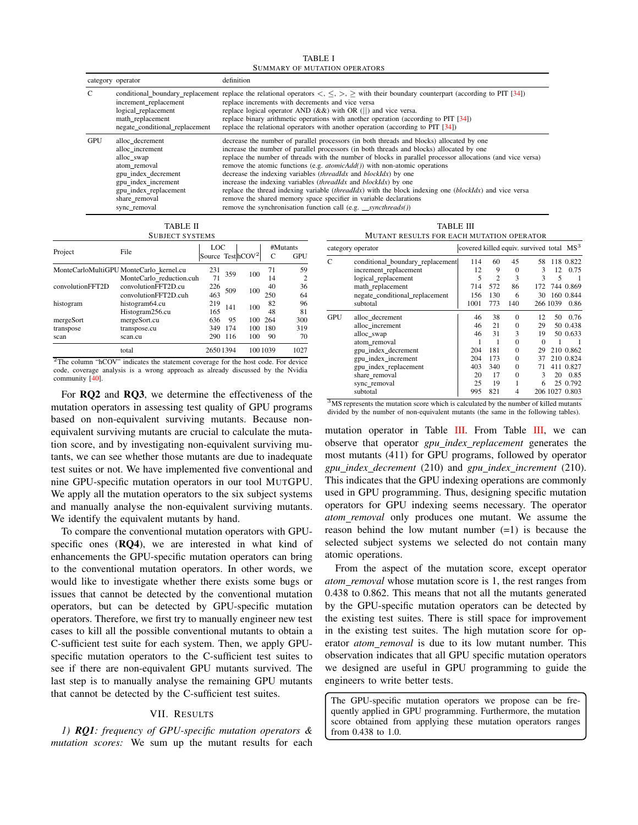TABLE I SUMMARY OF MUTATION OPERATORS

<span id="page-5-0"></span>

|            | category operator                                                                                                                                                        | definition                                                                                                                                                                                                                                                                                                                                                                                                                                                                                                                                                                                                                                                                                                                                                                                                          |
|------------|--------------------------------------------------------------------------------------------------------------------------------------------------------------------------|---------------------------------------------------------------------------------------------------------------------------------------------------------------------------------------------------------------------------------------------------------------------------------------------------------------------------------------------------------------------------------------------------------------------------------------------------------------------------------------------------------------------------------------------------------------------------------------------------------------------------------------------------------------------------------------------------------------------------------------------------------------------------------------------------------------------|
|            | increment replacement<br>logical replacement<br>math replacement<br>negate conditional replacement                                                                       | conditional boundary replacement replace the relational operators $\langle \cdot, \cdot \rangle$ , $>$ with their boundary counterpart (according to PIT [34])<br>replace increments with decrements and vice versa<br>replace logical operator AND $(kx)$ with OR (  ) and vice versa.<br>replace binary arithmetic operations with another operation (according to PIT [34])<br>replace the relational operators with another operation (according to PIT $[34]$ )                                                                                                                                                                                                                                                                                                                                                |
| <b>GPU</b> | alloc decrement<br>alloc increment<br>alloc swap<br>atom removal<br>gpu index decrement<br>gpu index increment<br>gpu_index_replacement<br>share removal<br>sync_removal | decrease the number of parallel processors (in both threads and blocks) allocated by one<br>increase the number of parallel processors (in both threads and blocks) allocated by one<br>replace the number of threads with the number of blocks in parallel processor allocations (and vice versa)<br>remove the atomic functions (e.g. $atomicAdd()$ ) with non-atomic operations<br>decrease the indexing variables <i>(threadIdx</i> and <i>blockIdx)</i> by one<br>increase the indexing variables <i>(threadIdx</i> and <i>blockIdx)</i> by one<br>replace the thread indexing variable <i>(threadIdx)</i> with the block indexing one <i>(blockIdx)</i> and vice versa<br>remove the shared memory space specifier in variable declarations<br>remove the synchronisation function call (e.g. _syncthreads()) |

TABLE II SUBJECT SYSTEMS

<span id="page-5-1"></span>

| Project          | File                                                                | LOC<br>Source TesthCOV <sup>2</sup> |     |     | C         | #Mutants<br><b>GPU</b> |
|------------------|---------------------------------------------------------------------|-------------------------------------|-----|-----|-----------|------------------------|
|                  | MonteCarloMultiGPU MonteCarlo kernel.cu<br>MonteCarlo reduction.cuh | 231<br>71                           | 359 | 100 | 71<br>14  | 59<br>$\overline{c}$   |
| convolutionFFT2D | convolutionFFT2D.cu<br>convolutionFFT2D.cuh                         | 226<br>463                          | 509 | 100 | 40<br>250 | 36<br>64               |
| histogram        | histogram64.cu<br>Histogram256.cu                                   | 219<br>165                          | 141 | 100 | 82<br>48  | 96<br>81               |
| mergeSort        | mergeSort.cu                                                        | 636                                 | 95  | 100 | 264       | 300                    |
| transpose        | transpose.cu                                                        | 349                                 | 174 | 100 | 180       | 319                    |
| scan             | scan.cu                                                             | 290                                 | 116 | 100 | 90        | 70                     |
|                  | total                                                               | 26501394                            |     |     | 100 1039  | 1027                   |

<sup>2</sup>The column "hCOV" indicates the statement coverage for the host code. For device code, coverage analysis is a wrong approach as already discussed by the Nvidia community [\[40\]](#page-10-36).

For RQ2 and RQ3, we determine the effectiveness of the mutation operators in assessing test quality of GPU programs based on non-equivalent surviving mutants. Because nonequivalent surviving mutants are crucial to calculate the mutation score, and by investigating non-equivalent surviving mutants, we can see whether those mutants are due to inadequate test suites or not. We have implemented five conventional and nine GPU-specific mutation operators in our tool MUTGPU. We apply all the mutation operators to the six subject systems and manually analyse the non-equivalent surviving mutants. We identify the equivalent mutants by hand.

To compare the conventional mutation operators with GPUspecific ones (RQ4), we are interested in what kind of enhancements the GPU-specific mutation operators can bring to the conventional mutation operators. In other words, we would like to investigate whether there exists some bugs or issues that cannot be detected by the conventional mutation operators, but can be detected by GPU-specific mutation operators. Therefore, we first try to manually engineer new test cases to kill all the possible conventional mutants to obtain a C-sufficient test suite for each system. Then, we apply GPUspecific mutation operators to the C-sufficient test suites to see if there are non-equivalent GPU mutants survived. The last step is to manually analyse the remaining GPU mutants that cannot be detected by the C-sufficient test suites.

# VII. RESULTS

*1) RQ1: frequency of GPU-specific mutation operators & mutation scores:* We sum up the mutant results for each

TABLE III MUTANT RESULTS FOR EACH MUTATION OPERATOR

<span id="page-5-2"></span>

|            | category operator                                                                                                  |      |                |          | covered killed equiv. survived total MS <sup>3</sup> |          |                |
|------------|--------------------------------------------------------------------------------------------------------------------|------|----------------|----------|------------------------------------------------------|----------|----------------|
| C          | conditional_boundary_replacement                                                                                   | 114  | 60             | 45       | 58                                                   |          | 118 0.822      |
|            | increment_replacement                                                                                              | 12   | 9              | $\Omega$ | 3                                                    | 12       | 0.75           |
|            | logical_replacement                                                                                                | 5    | $\overline{c}$ | 3        | 3                                                    | 5        |                |
|            | math_replacement                                                                                                   | 714  | 572            | 86       | 172                                                  |          | 744 0.869      |
|            | negate conditional replacement                                                                                     | 156  | 130            | 6        | 30                                                   |          | 160 0.844      |
|            | subtotal                                                                                                           | 1001 | 773            | 140      |                                                      | 266 1039 | 0.86           |
| <b>GPU</b> | alloc decrement                                                                                                    | 46   | 38             | $\Omega$ | 12                                                   | 50       | 0.76           |
|            | alloc increment                                                                                                    | 46   | 21             | $\Omega$ | 29                                                   |          | 50 0.438       |
|            | alloc_swap                                                                                                         | 46   | 31             | 3        | 19                                                   |          | 50 0.633       |
|            | atom removal                                                                                                       |      | 1              | $\Omega$ | $\Omega$                                             |          |                |
|            | gpu index decrement                                                                                                | 204  | 181            | $\Omega$ | 29                                                   |          | 210 0.862      |
|            | gpu_index_increment                                                                                                | 204  | 173            | $\Omega$ | 37                                                   |          | 210 0.824      |
|            | gpu_index_replacement                                                                                              | 403  | 340            | $\Omega$ | 71                                                   |          | 411 0.827      |
|            | share removal                                                                                                      | 20   | 17             | $\Omega$ | 3                                                    | 20       | 0.85           |
|            | sync_removal                                                                                                       | 25   | 19             |          | 6                                                    |          | 25 0.792       |
|            | subtotal<br>$3\overline{\rm MS}$ represents the mutation seere which is coloulated by the number of killed mutates | 995  | 821            | 4        |                                                      |          | 206 1027 0.803 |

MS represents the mutation score which is calculated by the number of killed mut divided by the number of non-equivalent mutants (the same in the following tables).

mutation operator in Table [III.](#page-5-2) From Table [III,](#page-5-2) we can observe that operator *gpu index replacement* generates the most mutants (411) for GPU programs, followed by operator *gpu index decrement* (210) and *gpu index increment* (210). This indicates that the GPU indexing operations are commonly used in GPU programming. Thus, designing specific mutation operators for GPU indexing seems necessary. The operator *atom removal* only produces one mutant. We assume the reason behind the low mutant number  $(=1)$  is because the selected subject systems we selected do not contain many atomic operations.

From the aspect of the mutation score, except operator *atom removal* whose mutation score is 1, the rest ranges from 0.438 to 0.862. This means that not all the mutants generated by the GPU-specific mutation operators can be detected by the existing test suites. There is still space for improvement in the existing test suites. The high mutation score for operator *atom removal* is due to its low mutant number. This observation indicates that all GPU specific mutation operators we designed are useful in GPU programming to guide the engineers to write better tests.

<span id="page-5-3"></span>The GPU-specific mutation operators we propose can be frequently applied in GPU programming. Furthermore, the mutation score obtained from applying these mutation operators ranges from 0.438 to 1.0.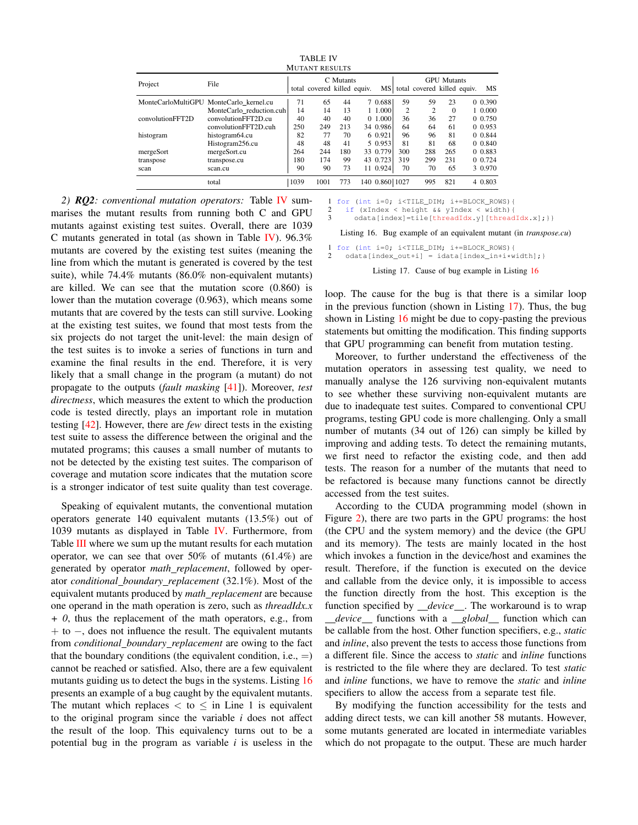<span id="page-6-0"></span>

| <b>MUTANT RESULTS</b> |                                         |      |                             |           |  |                |                |                                |                    |         |
|-----------------------|-----------------------------------------|------|-----------------------------|-----------|--|----------------|----------------|--------------------------------|--------------------|---------|
| Project               | File                                    |      | total covered killed equiv. | C Mutants |  |                |                | MS total covered killed equiv. | <b>GPU</b> Mutants | MS      |
|                       | MonteCarloMultiGPU MonteCarlo_kernel.cu | 71   | 65                          | 44        |  | 7 0.688        | 59             | 59                             | 23                 | 0 0.390 |
|                       | MonteCarlo reduction.cuh                | 14   | 14                          | 13        |  | 1 1.000        | $\overline{c}$ | $\overline{c}$                 | $\theta$           | 1 0.000 |
| convolutionFFT2D      | convolutionFFT2D.cu                     | 40   | 40                          | 40        |  | 0 1.000        | 36             | 36                             | 27                 | 0 0.750 |
|                       | convolutionFFT2D.cuh                    | 250  | 249                         | 213       |  | 34 0.986       | 64             | 64                             | 61                 | 0 0.953 |
| histogram             | histogram64.cu                          | 82   | 77                          | 70        |  | 6 0.921        | 96             | 96                             | 81                 | 0 0.844 |
|                       | Histogram256.cu                         | 48   | 48                          | 41        |  | 5 0.953        | 81             | 81                             | 68                 | 0.0840  |
| mergeSort             | mergeSort.cu                            | 264  | 244                         | 180       |  | 33 0.779       | 300            | 288                            | 265                | 0 0.883 |
| transpose             | transpose.cu                            | 180  | 174                         | 99        |  | 43 0.723       | 319            | 299                            | 231                | 0 0.724 |
| scan                  | scan.cu                                 | 90   | 90                          | 73        |  | 11 0.924       | 70             | 70                             | 65                 | 3 0.970 |
|                       | total                                   | 1039 | 1001                        | 773       |  | 140 0.860 1027 |                | 995                            | 821                | 4 0.803 |

TABLE IV

*2) RQ2: conventional mutation operators:* Table [IV](#page-6-0) summarises the mutant results from running both C and GPU mutants against existing test suites. Overall, there are 1039 C mutants generated in total (as shown in Table [IV\)](#page-6-0). 96.3% mutants are covered by the existing test suites (meaning the line from which the mutant is generated is covered by the test suite), while 74.4% mutants (86.0% non-equivalent mutants) are killed. We can see that the mutation score (0.860) is lower than the mutation coverage (0.963), which means some mutants that are covered by the tests can still survive. Looking at the existing test suites, we found that most tests from the six projects do not target the unit-level: the main design of the test suites is to invoke a series of functions in turn and examine the final results in the end. Therefore, it is very likely that a small change in the program (a mutant) do not propagate to the outputs (*fault masking* [\[41\]](#page-10-37)). Moreover, *test directness*, which measures the extent to which the production code is tested directly, plays an important role in mutation testing [\[42\]](#page-10-38). However, there are *few* direct tests in the existing test suite to assess the difference between the original and the mutated programs; this causes a small number of mutants to not be detected by the existing test suites. The comparison of coverage and mutation score indicates that the mutation score is a stronger indicator of test suite quality than test coverage.

Speaking of equivalent mutants, the conventional mutation operators generate 140 equivalent mutants (13.5%) out of 1039 mutants as displayed in Table [IV.](#page-6-0) Furthermore, from Table **[III](#page-5-2)** where we sum up the mutant results for each mutation operator, we can see that over 50% of mutants (61.4%) are generated by operator *math replacement*, followed by operator *conditional boundary replacement* (32.1%). Most of the equivalent mutants produced by *math replacement* are because one operand in the math operation is zero, such as *threadIdx.x + 0*, thus the replacement of the math operators, e.g., from + to −, does not influence the result. The equivalent mutants from *conditional boundary replacement* are owing to the fact that the boundary conditions (the equivalent condition, i.e.,  $=$ ) cannot be reached or satisfied. Also, there are a few equivalent mutants guiding us to detect the bugs in the systems. Listing [16](#page-6-1) presents an example of a bug caught by the equivalent mutants. The mutant which replaces  $\lt$  to  $\leq$  in Line 1 is equivalent to the original program since the variable *i* does not affect the result of the loop. This equivalency turns out to be a potential bug in the program as variable *i* is useless in the <span id="page-6-1"></span>1 for (int i=0; i<TILE\_DIM; i+=BLOCK\_ROWS){ 2 if (xIndex < height && yIndex < width){

odata[index]=tile[threadIdx.y][threadIdx.x];}}

Listing 16. Bug example of an equivalent mutant (in *transpose.cu*)

<span id="page-6-2"></span>1 for (int i=0; i<TILE\_DIM; i+=BLOCK\_ROWS){<br>2 odatalindex out+il = idatalindex in+i\*w  $\mathtt{odata}[\mathtt{index\_out+i}] \ = \ \mathtt{idata}[\mathtt{index\_in+i*width}]\text{; } \}$ 

Listing 17. Cause of bug example in Listing [16](#page-6-1)

loop. The cause for the bug is that there is a similar loop in the previous function (shown in Listing [17\)](#page-6-2). Thus, the bug shown in Listing [16](#page-6-1) might be due to copy-pasting the previous statements but omitting the modification. This finding supports that GPU programming can benefit from mutation testing.

Moreover, to further understand the effectiveness of the mutation operators in assessing test quality, we need to manually analyse the 126 surviving non-equivalent mutants to see whether these surviving non-equivalent mutants are due to inadequate test suites. Compared to conventional CPU programs, testing GPU code is more challenging. Only a small number of mutants (34 out of 126) can simply be killed by improving and adding tests. To detect the remaining mutants, we first need to refactor the existing code, and then add tests. The reason for a number of the mutants that need to be refactored is because many functions cannot be directly accessed from the test suites.

According to the CUDA programming model (shown in Figure [2\)](#page-1-3), there are two parts in the GPU programs: the host (the CPU and the system memory) and the device (the GPU and its memory). The tests are mainly located in the host which invokes a function in the device/host and examines the result. Therefore, if the function is executed on the device and callable from the device only, it is impossible to access the function directly from the host. This exception is the function specified by *\_device* \_\_. The workaround is to wrap *device* functions with a *global* function which can be callable from the host. Other function specifiers, e.g., *static* and *inline*, also prevent the tests to access those functions from a different file. Since the access to *static* and *inline* functions is restricted to the file where they are declared. To test *static* and *inline* functions, we have to remove the *static* and *inline* specifiers to allow the access from a separate test file.

By modifying the function accessibility for the tests and adding direct tests, we can kill another 58 mutants. However, some mutants generated are located in intermediate variables which do not propagate to the output. These are much harder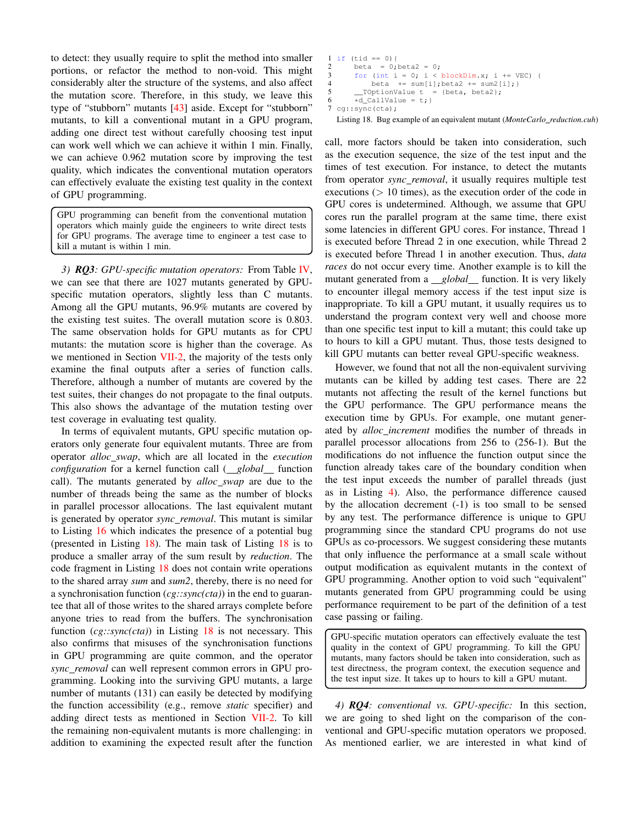to detect: they usually require to split the method into smaller portions, or refactor the method to non-void. This might considerably alter the structure of the systems, and also affect the mutation score. Therefore, in this study, we leave this type of "stubborn" mutants [\[43\]](#page-10-39) aside. Except for "stubborn" mutants, to kill a conventional mutant in a GPU program, adding one direct test without carefully choosing test input can work well which we can achieve it within 1 min. Finally, we can achieve 0.962 mutation score by improving the test quality, which indicates the conventional mutation operators can effectively evaluate the existing test quality in the context of GPU programming.

GPU programming can benefit from the conventional mutation operators which mainly guide the engineers to write direct tests for GPU programs. The average time to engineer a test case to kill a mutant is within 1 min.

*3) RQ3: GPU-specific mutation operators:* From Table [IV,](#page-6-0) we can see that there are 1027 mutants generated by GPUspecific mutation operators, slightly less than C mutants. Among all the GPU mutants, 96.9% mutants are covered by the existing test suites. The overall mutation score is 0.803. The same observation holds for GPU mutants as for CPU mutants: the mutation score is higher than the coverage. As we mentioned in Section [VII-2,](#page-5-3) the majority of the tests only examine the final outputs after a series of function calls. Therefore, although a number of mutants are covered by the test suites, their changes do not propagate to the final outputs. This also shows the advantage of the mutation testing over test coverage in evaluating test quality.

In terms of equivalent mutants, GPU specific mutation operators only generate four equivalent mutants. Three are from operator *alloc swap*, which are all located in the *execution configuration* for a kernel function call (*global* function call). The mutants generated by *alloc swap* are due to the number of threads being the same as the number of blocks in parallel processor allocations. The last equivalent mutant is generated by operator *sync removal*. This mutant is similar to Listing [16](#page-6-1) which indicates the presence of a potential bug (presented in Listing [18\)](#page-7-0). The main task of Listing [18](#page-7-0) is to produce a smaller array of the sum result by *reduction*. The code fragment in Listing [18](#page-7-0) does not contain write operations to the shared array *sum* and *sum2*, thereby, there is no need for a synchronisation function (*cg::sync(cta)*) in the end to guarantee that all of those writes to the shared arrays complete before anyone tries to read from the buffers. The synchronisation function (*cg::sync(cta)*) in Listing [18](#page-7-0) is not necessary. This also confirms that misuses of the synchronisation functions in GPU programming are quite common, and the operator *sync removal* can well represent common errors in GPU programming. Looking into the surviving GPU mutants, a large number of mutants (131) can easily be detected by modifying the function accessibility (e.g., remove *static* specifier) and adding direct tests as mentioned in Section [VII-2.](#page-5-3) To kill the remaining non-equivalent mutants is more challenging: in addition to examining the expected result after the function

```
1 if (tid == 0){
2 beta = 0; beta 2 = 0;<br>3 for (int i = 0; i <
3 for (int i = 0; i < blockDim.x; i += VEC) {<br>4 beta += sum[i]; beta2 += sum2[i]; }
            beta += sum[i];beta2 += sum[1];5 ___TOptionValue t = {beta, beta2};
6 \times d_{\text{CallValue}} = t;7 cg::sync(cta);
```
Listing 18. Bug example of an equivalent mutant (*MonteCarlo reduction.cuh*)

call, more factors should be taken into consideration, such as the execution sequence, the size of the test input and the times of test execution. For instance, to detect the mutants from operator *sync removal*, it usually requires multiple test executions  $(> 10$  times), as the execution order of the code in GPU cores is undetermined. Although, we assume that GPU cores run the parallel program at the same time, there exist some latencies in different GPU cores. For instance, Thread 1 is executed before Thread 2 in one execution, while Thread 2 is executed before Thread 1 in another execution. Thus, *data races* do not occur every time. Another example is to kill the mutant generated from a *global* function. It is very likely to encounter illegal memory access if the test input size is inappropriate. To kill a GPU mutant, it usually requires us to understand the program context very well and choose more than one specific test input to kill a mutant; this could take up to hours to kill a GPU mutant. Thus, those tests designed to kill GPU mutants can better reveal GPU-specific weakness.

However, we found that not all the non-equivalent surviving mutants can be killed by adding test cases. There are 22 mutants not affecting the result of the kernel functions but the GPU performance. The GPU performance means the execution time by GPUs. For example, one mutant generated by *alloc increment* modifies the number of threads in parallel processor allocations from 256 to (256-1). But the modifications do not influence the function output since the function already takes care of the boundary condition when the test input exceeds the number of parallel threads (just as in Listing [4\)](#page-2-2). Also, the performance difference caused by the allocation decrement (-1) is too small to be sensed by any test. The performance difference is unique to GPU programming since the standard CPU programs do not use GPUs as co-processors. We suggest considering these mutants that only influence the performance at a small scale without output modification as equivalent mutants in the context of GPU programming. Another option to void such "equivalent" mutants generated from GPU programming could be using performance requirement to be part of the definition of a test case passing or failing.

GPU-specific mutation operators can effectively evaluate the test quality in the context of GPU programming. To kill the GPU mutants, many factors should be taken into consideration, such as test directness, the program context, the execution sequence and the test input size. It takes up to hours to kill a GPU mutant.

*4) RQ4: conventional vs. GPU-specific:* In this section, we are going to shed light on the comparison of the conventional and GPU-specific mutation operators we proposed. As mentioned earlier, we are interested in what kind of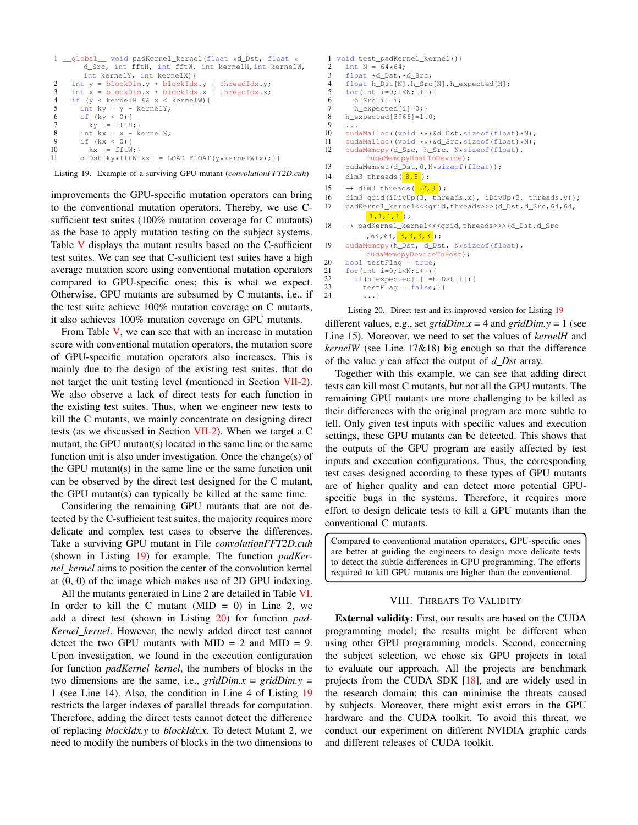```
1 __global__ void padKernel_kernel(float *d_Dst, float *
          d_Src, int fftH, int fftW, int kernelH,int kernelW,
int kernelY, int kernelX){
2 int y = blockDim.y * blockIdx.y + threadIdx.y;<br>3 int x = blockDim.x * blockIdx.x + threadIdx.x;3 int x = blockDim.x * blockIdx.x + threadIdx.x;<br>4 if (y < kernellH &lt; x < kernelW)if (y < kernelH &x < kernelW) {
5 int ky = y - kernelY;<br>6 if (ky < 0) {
        if (ky < 0) {
7 ky \neq fftH;8 int kx = x - kerne1X;9 if (kx < 0)!
10 kx += fftW; }<br>11 d Dst ky * fftW+
         d_Dst[ky*fftW+kx] = LOAD_FLOAT(y*kernelW+x); } }
```
Listing 19. Example of a surviving GPU mutant (*convolutionFFT2D.cuh*)

improvements the GPU-specific mutation operators can bring to the conventional mutation operators. Thereby, we use Csufficient test suites (100% mutation coverage for C mutants) as the base to apply mutation testing on the subject systems. Table [V](#page-9-1) displays the mutant results based on the C-sufficient test suites. We can see that C-sufficient test suites have a high average mutation score using conventional mutation operators compared to GPU-specific ones; this is what we expect. Otherwise, GPU mutants are subsumed by C mutants, i.e., if the test suite achieve 100% mutation coverage on C mutants, it also achieves 100% mutation coverage on GPU mutants.

From Table  $V$ , we can see that with an increase in mutation score with conventional mutation operators, the mutation score of GPU-specific mutation operators also increases. This is mainly due to the design of the existing test suites, that do not target the unit testing level (mentioned in Section [VII-2\)](#page-5-3). We also observe a lack of direct tests for each function in the existing test suites. Thus, when we engineer new tests to kill the C mutants, we mainly concentrate on designing direct tests (as we discussed in Section [VII-2\)](#page-5-3). When we target a C mutant, the GPU mutant(s) located in the same line or the same function unit is also under investigation. Once the change(s) of the GPU mutant(s) in the same line or the same function unit can be observed by the direct test designed for the C mutant, the GPU mutant(s) can typically be killed at the same time.

Considering the remaining GPU mutants that are not detected by the C-sufficient test suites, the majority requires more delicate and complex test cases to observe the differences. Take a surviving GPU mutant in File *convolutionFFT2D.cuh* (shown in Listing [19\)](#page-8-0) for example. The function *padKernel kernel* aims to position the center of the convolution kernel at (0, 0) of the image which makes use of 2D GPU indexing.

All the mutants generated in Line 2 are detailed in Table [VI.](#page-9-2) In order to kill the C mutant ( $MID = 0$ ) in Line 2, we add a direct test (shown in Listing [20\)](#page-8-1) for function *pad-Kernel kernel*. However, the newly added direct test cannot detect the two GPU mutants with  $MID = 2$  and  $MID = 9$ . Upon investigation, we found in the execution configuration for function *padKernel kernel*, the numbers of blocks in the two dimensions are the same, i.e., *gridDim.x* = *gridDim.y* = 1 (see Line 14). Also, the condition in Line 4 of Listing [19](#page-8-0) restricts the larger indexes of parallel threads for computation. Therefore, adding the direct tests cannot detect the difference of replacing *blockIdx.y* to *blockIdx.x*. To detect Mutant 2, we need to modify the numbers of blocks in the two dimensions to

```
1 void test_padKernel_kernel(){
 2 int N = 64*64;<br>3 float +d Dst +
 3 float *d_Dst,*d_Src;<br>4 float h Dst[N], h Src
      float h_Dst[N], h_Src[N], h_expected[N];
 5 for(int i=0; i<N; i++){
 6 h_Src[i]=i;7 h_expected[i]=0; }<br>8 h expected[3966]=1.
      h_expected[3966]=1.0;
 9 ...
10 cudaMalloc((void **) &d_Dst, sizeof(float) *N);<br>11 cudaMalloc((void **) &d Src sizeof(float) *N);
11 cudaMalloc((void **)&d_Src,sizeof(float)*N);<br>12 cudaMemcov(d Src, h Src, N*sizeof(float).
      cudaMemcpy(d_Src, h_Src, N*sizeof(float),
             cudaMemcpyHostToDevice);
13 cudaMemset(d_Dst,0,N*sizeof(float));<br>14 dim3 threads(8,8);
      dim3 threads(8,8);
15 \rightarrow dim3 threads(32,8);
16 dim3 grid(iDivUp(3, threads.x), iDivUp(3, threads.y));<br>17 padKernel_kernel<<<grid,threads>>>(d_Dst,d_Src,64,64,
      17 padKernel_kernel<<<grid,threads>>>(d_Dst,d_Src,64,64,
             1,1,1,1 );
18 → padKernel_kernel<<<grid,threads>>>(d_Dst,d_Src
             ,64,64,3,3,3,3;19 cudaMemcpy(h Dst, d Dst, N*sizeof(float),
            cudaMemcpyDeviceToHost);
20 bool testFlag = true;
21 for(int i=0;i<N;i++){<br>22 if(b expected[ill=h
         if(h_expected[i] !=h_Dst[i]){
23 testFlag = false; } }
24 ...}
```
Listing 20. Direct test and its improved version for Listing [19](#page-8-0) different values, e.g., set *gridDim.x* = 4 and *gridDim.y* = 1 (see Line 15). Moreover, we need to set the values of *kernelH* and *kernelW* (see Line 17&18) big enough so that the difference of the value *y* can affect the output of *d Dst* array.

Together with this example, we can see that adding direct tests can kill most C mutants, but not all the GPU mutants. The remaining GPU mutants are more challenging to be killed as their differences with the original program are more subtle to tell. Only given test inputs with specific values and execution settings, these GPU mutants can be detected. This shows that the outputs of the GPU program are easily affected by test inputs and execution configurations. Thus, the corresponding test cases designed according to these types of GPU mutants are of higher quality and can detect more potential GPUspecific bugs in the systems. Therefore, it requires more effort to design delicate tests to kill a GPU mutants than the conventional C mutants.

Compared to conventional mutation operators, GPU-specific ones are better at guiding the engineers to design more delicate tests to detect the subtle differences in GPU programming. The efforts required to kill GPU mutants are higher than the conventional.

# VIII. THREATS TO VALIDITY

External validity: First, our results are based on the CUDA programming model; the results might be different when using other GPU programming models. Second, concerning the subject selection, we chose six GPU projects in total to evaluate our approach. All the projects are benchmark projects from the CUDA SDK [\[18\]](#page-10-15), and are widely used in the research domain; this can minimise the threats caused by subjects. Moreover, there might exist errors in the GPU hardware and the CUDA toolkit. To avoid this threat, we conduct our experiment on different NVIDIA graphic cards and different releases of CUDA toolkit.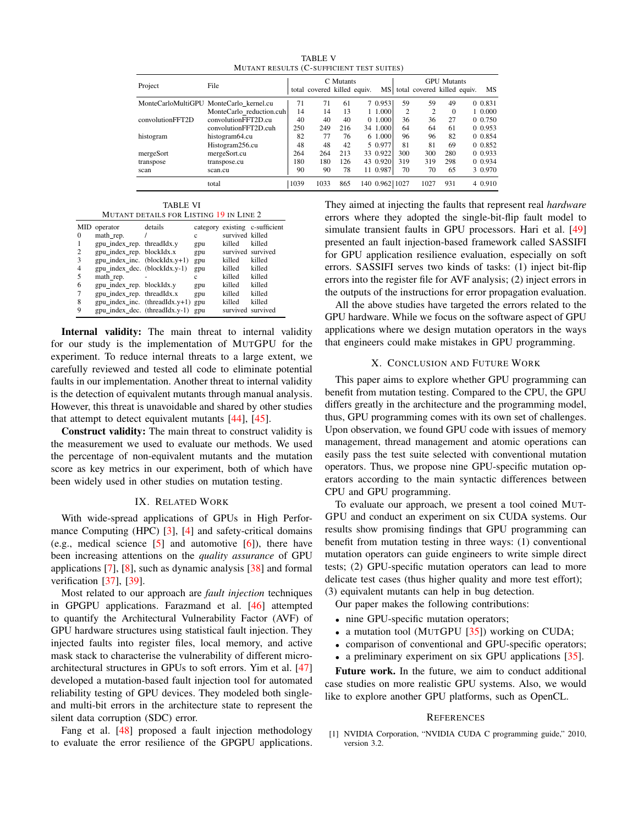TABLE V MUTANT RESULTS (C-SUFFICIENT TEST SUITES)

<span id="page-9-1"></span>

|                  | File                                    | C. Mutants |                             |     |  | <b>GPU</b> Mutants |                |                             |          |  |           |
|------------------|-----------------------------------------|------------|-----------------------------|-----|--|--------------------|----------------|-----------------------------|----------|--|-----------|
| Project          |                                         |            | total covered killed equiv. |     |  | <b>MS</b>          |                | total covered killed equiv. |          |  | <b>MS</b> |
|                  | MonteCarloMultiGPU MonteCarlo kernel.cu | 71         | 71                          | 61  |  | 7 0.953            | 59             | 59                          | 49       |  | 0 0.831   |
|                  | MonteCarlo reduction.cuh                | 14         | 14                          | 13  |  | 1 1.000            | $\overline{c}$ | $\overline{c}$              | $\Omega$ |  | 1 0.000   |
| convolutionFFT2D | convolutionFFT2D.cu                     | 40         | 40                          | 40  |  | 0.1.000            | 36             | 36                          | 27       |  | 0 0.750   |
|                  | convolutionFFT2D.cuh                    | 250        | 249                         | 216 |  | 34 1.000           | 64             | 64                          | 61       |  | 0 0.953   |
| histogram        | histogram64.cu                          | 82         | 77                          | 76  |  | 6 1.000            | 96             | 96                          | 82       |  | 0 0.854   |
|                  | Histogram256.cu                         | 48         | 48                          | 42  |  | 5 0.977            | 81             | 81                          | 69       |  | 0 0.852   |
| mergeSort        | mergeSort.cu                            | 264        | 264                         | 213 |  | 33 0.922           | 300            | 300                         | 280      |  | 0 0.933   |
| transpose        | transpose.cu                            | 180        | 180                         | 126 |  | 43 0.920           | 319            | 319                         | 298      |  | 0 0.934   |
| scan             | scan.cu                                 | 90         | 90                          | 78  |  | 11 0.987           | 70             | 70                          | 65       |  | 3 0.970   |
|                  | total                                   | 1039       | 1033                        | 865 |  | 140 0.962          | 1027           | 1027                        | 931      |  | 4 0.910   |

TABLE VI MUTANT DETAILS FOR LISTING [19](#page-8-0) IN LINE 2

<span id="page-9-2"></span>

|                | MID operator                   | details                            |     |                 | category existing c-sufficient |
|----------------|--------------------------------|------------------------------------|-----|-----------------|--------------------------------|
| $\Omega$       | math rep.                      |                                    | Ċ   | survived killed |                                |
| 1              | gpu_index_rep. threadIdx.y     |                                    | gpu | killed          | killed                         |
| $\overline{c}$ | gpu_index_rep. blockIdx.x      |                                    | gpu |                 | survived survived              |
| 3              | gpu_index_inc. (blockIdx.y+1)  |                                    | gpu | killed          | killed                         |
| 4              | gpu_index_dec. (blockIdx.y-1)  |                                    | gpu | killed          | killed                         |
| 5              | math rep.                      |                                    | Ċ   | killed          | killed                         |
| 6              | gpu_index_rep. blockIdx.y      |                                    | gpu | killed          | killed                         |
| 7              | gpu_index_rep. threadIdx.x     |                                    | gpu | killed          | killed                         |
| 8              |                                | $gpu\_index\_inc.$ (threadIdx.y+1) | gpu | killed          | killed                         |
| 9              | gpu_index_dec. (threadIdx.y-1) |                                    | gpu |                 | survived survived              |

Internal validity: The main threat to internal validity for our study is the implementation of MUTGPU for the experiment. To reduce internal threats to a large extent, we carefully reviewed and tested all code to eliminate potential faults in our implementation. Another threat to internal validity is the detection of equivalent mutants through manual analysis. However, this threat is unavoidable and shared by other studies that attempt to detect equivalent mutants [\[44\]](#page-10-40), [\[45\]](#page-10-41).

Construct validity: The main threat to construct validity is the measurement we used to evaluate our methods. We used the percentage of non-equivalent mutants and the mutation score as key metrics in our experiment, both of which have been widely used in other studies on mutation testing.

#### IX. RELATED WORK

With wide-spread applications of GPUs in High Performance Computing (HPC) [\[3\]](#page-10-1), [\[4\]](#page-10-2) and safety-critical domains (e.g., medical science  $[5]$  and automotive  $[6]$ ), there have been increasing attentions on the *quality assurance* of GPU applications [\[7\]](#page-10-5), [\[8\]](#page-10-6), such as dynamic analysis [\[38\]](#page-10-42) and formal verification [\[37\]](#page-10-33), [\[39\]](#page-10-34).

Most related to our approach are *fault injection* techniques in GPGPU applications. Farazmand et al. [\[46\]](#page-10-43) attempted to quantify the Architectural Vulnerability Factor (AVF) of GPU hardware structures using statistical fault injection. They injected faults into register files, local memory, and active mask stack to characterise the vulnerability of different microarchitectural structures in GPUs to soft errors. Yim et al. [\[47\]](#page-10-44) developed a mutation-based fault injection tool for automated reliability testing of GPU devices. They modeled both singleand multi-bit errors in the architecture state to represent the silent data corruption (SDC) error.

Fang et al. [\[48\]](#page-10-45) proposed a fault injection methodology to evaluate the error resilience of the GPGPU applications. They aimed at injecting the faults that represent real *hardware* errors where they adopted the single-bit-flip fault model to simulate transient faults in GPU processors. Hari et al. [\[49\]](#page-10-46) presented an fault injection-based framework called SASSIFI for GPU application resilience evaluation, especially on soft errors. SASSIFI serves two kinds of tasks: (1) inject bit-flip errors into the register file for AVF analysis; (2) inject errors in the outputs of the instructions for error propagation evaluation.

All the above studies have targeted the errors related to the GPU hardware. While we focus on the software aspect of GPU applications where we design mutation operators in the ways that engineers could make mistakes in GPU programming.

## X. CONCLUSION AND FUTURE WORK

This paper aims to explore whether GPU programming can benefit from mutation testing. Compared to the CPU, the GPU differs greatly in the architecture and the programming model, thus, GPU programming comes with its own set of challenges. Upon observation, we found GPU code with issues of memory management, thread management and atomic operations can easily pass the test suite selected with conventional mutation operators. Thus, we propose nine GPU-specific mutation operators according to the main syntactic differences between CPU and GPU programming.

To evaluate our approach, we present a tool coined MUT-GPU and conduct an experiment on six CUDA systems. Our results show promising findings that GPU programming can benefit from mutation testing in three ways: (1) conventional mutation operators can guide engineers to write simple direct tests; (2) GPU-specific mutation operators can lead to more delicate test cases (thus higher quality and more test effort); (3) equivalent mutants can help in bug detection.

Our paper makes the following contributions:

- nine GPU-specific mutation operators;
- a mutation tool (MUTGPU [\[35\]](#page-10-31)) working on CUDA;
- comparison of conventional and GPU-specific operators;
- a preliminary experiment on six GPU applications [\[35\]](#page-10-31).

Future work. In the future, we aim to conduct additional case studies on more realistic GPU systems. Also, we would like to explore another GPU platforms, such as OpenCL.

#### **REFERENCES**

<span id="page-9-0"></span>[1] NVIDIA Corporation, "NVIDIA CUDA C programming guide," 2010, version 3.2.